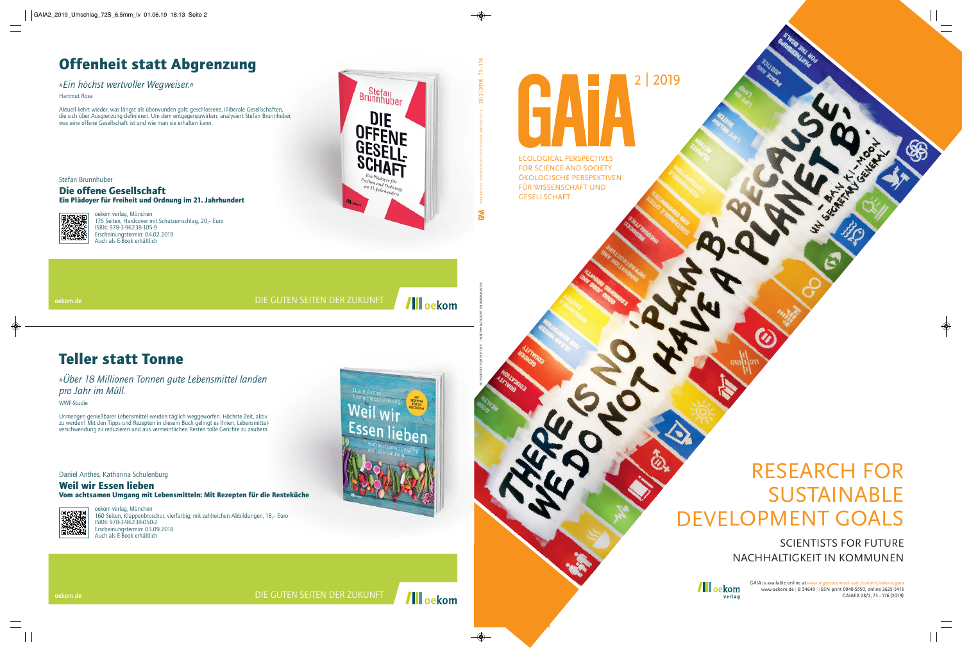# 2 | 2019 641 ECOLOGICAL PERSPECTIVES

FOR SCIENCE AND SOCIETY ÖKOLOGISCHE PERSPEKTIVEN FÜR WISSENSCHAFT UND GESELLSCHAFT

## RESEARCH FOR SUSTAINABLE DEVELOPMENT GOALS

SCIENTISTS FOR FUTURE NACHHALTIGKEIT IN KOMMUNEN

> *GAIA* is available online at *www.ingentaconnect.com/content/oekom/gaia* www.oekom.de | B 54649 | ISSN print 0940-5550, online 2625-5413 GAIAEA 28/2, 73 – 176 (2019)

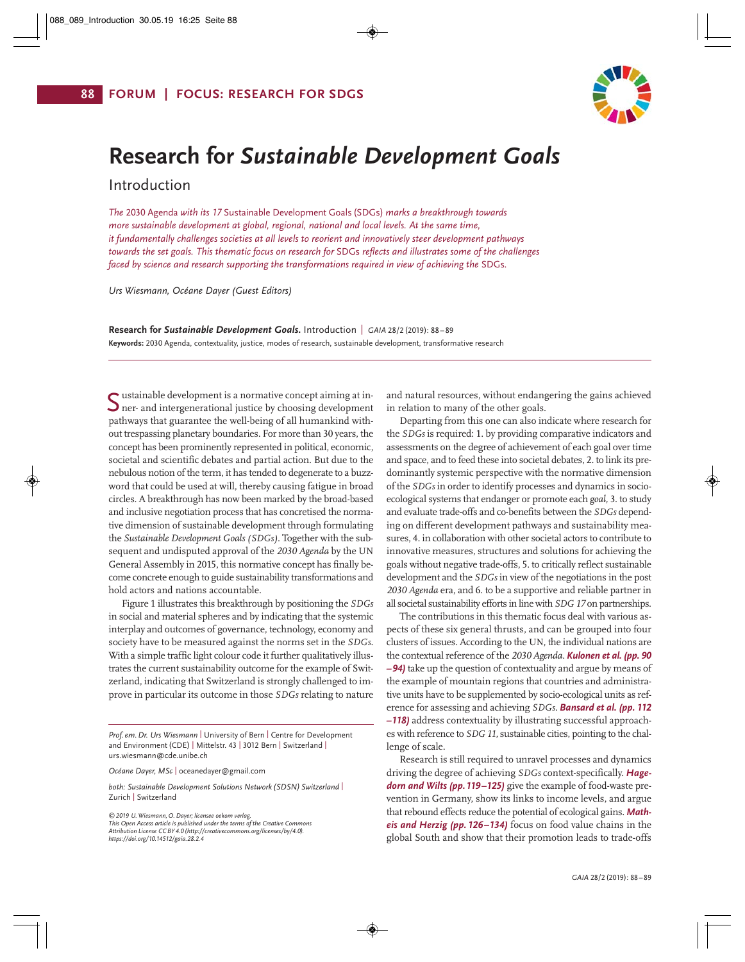

## **Research for** *Sustainable Development Goals*

Introduction

*The* 2030 Agenda *with its 17* Sustainable Development Goals (SDGs) *marks a breakthrough towards more sustainable development at global, regional, national and local levels. At the same time, it fundamentally challenges societies at all levels to reorient and innovatively steer development pathways towards the set goals. This thematic focus on research for* SDGs *reflects and illustrates some of the challenges faced by science and research supporting the transformations required in view of achieving the SDGs.* 

*Urs Wiesmann, Océane Dayer (Guest Editors)*

**Research for** *Sustainable Development Goals***.** Introduction | *GAIA* 28/2 (2019): 88 – 89 **Keywords:** 2030 Agenda, contextuality, justice, modes of research, sustainable development, transformative research

• ustainable development is a normative concept aiming at in-Sustainable development is a normative concept aiming at in-<br>Sner- and intergenerational justice by choosing development pathways that guarantee the well-being of all humankind without trespassing planetary boundaries. For more than 30 years, the concept has been prominently represented in political, economic, societal and scientific debates and partial action. But due to the nebulous notion of the term, it has tended to degenerate to a buzzword that could be used at will, thereby causing fatigue in broad circles. A breakthrough has now been marked by the broad-based and inclusive negotiation process that has concretised the norma tive dimension of sustainable development through formulating the *Sustainable Development Goals (SDGs)*. Together with the subsequent and undisputed approval of the *2030 Agenda* by the UN General Assembly in 2015, this normative concept has finally become concrete enough to guide sustainability transformations and hold actors and nations accountable.

Figure 1 illustrates this breakthrough by positioning the *SDGs* in social and material spheres and by indicating that the systemic interplay and outcomes of governance, technology, economy and society have to be measured against the norms set in the *SDGs*. With a simple traffic light colour code it further qualitatively illustrates the current sustainability outcome for the example of Swit zerland, indicating that Switzerland is strongly challenged to improve in particular its outcome in those *SDGs* relating to nature

*Prof. em. Dr. Urs Wiesmann* | University of Bern | Centre for Development and Environment (CDE) | Mittelstr. 43 | 3012 Bern | Switzerland | urs.wiesmann@cde.unibe.ch

*Océane Dayer, MSc* | oceanedayer@gmail.com

*both: Sustainable Development Solutions Network (SDSN) Switzerland* | Zurich | Switzerland

*©2019 U. Wiesmann, O. Dayer; licensee oekom verlag. This Open Access article is published under the terms of the Creative Commons Attribution License CC BY 4.0 (http://creativecommons.org/licenses/by/4.0). https://doi.org/10.14512/gaia.28.2.4*

and natural resources, without endangering the gains achieved in relation to many of the other goals.

Departing from this one can also indicate where research for the *SDGs* is required: 1. by providing comparative indicators and assessments on the degree of achievement of each goal over time and space, and to feed these into societal debates, 2. to link its predominantly systemic perspective with the normative dimension of the *SDGs* in order to identify processes and dynamics in socioecological systems that endanger or promote each *goal,* 3. to study and evaluate trade-offs and co-benefits between the *SDGs* depending on different development pathways and sustainability measures, 4. in collaboration with other societal actors to contribute to innovative measures, structures and solutions for achieving the goals without negative trade-offs, 5. to critically reflect sustainable development and the *SDGs* in view of the negotiations in the post *2030 Agenda* era, and 6. to be a supportive and reliable partner in all societal sustainability efforts in line with *SDG 17* on partnerships.

The contributions in this thematic focus deal with various aspects of these six general thrusts, and can be grouped into four clusters of issues. According to the UN, the individual nations are the contextual reference of the *2030 Agenda*. *Kulonen et al. (pp. 90 –94)* take up the question of contextuality and argue by means of the example of mountain regions that countries and administrative units have to be supplemented by socio-ecological units as reference for assessing and achieving *SDGs*. *Bansard et al. (pp. 112 –118)* address contextuality by illustrating successful approaches with reference to *SDG11,* sustainable cities, pointing to the challenge of scale.

Research is still required to unravel processes and dynamics driving the degree of achieving *SDGs* context-specifically. *Hagedorn and Wilts (pp.119–125)* give the example of food-waste prevention in Germany, show its links to income levels, and argue that rebound effects reduce the potential of ecological gains. *Math eis and Herzig (pp. 126–134)* focus on food value chains in the global South and show that their promotion leads to trade-offs